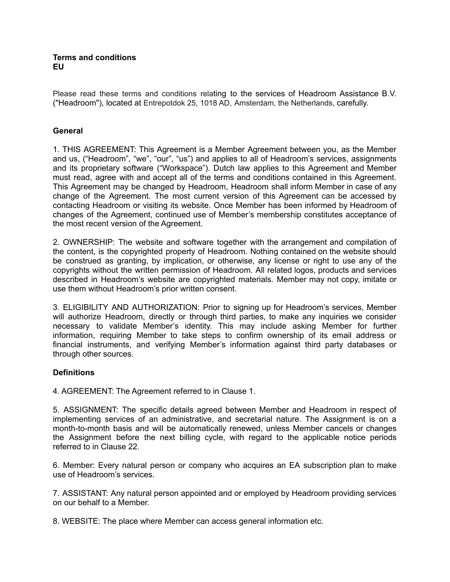#### **Terms and conditions EU**

Please read these terms and conditions relating to the services of Headroom Assistance B.V. ("Headroom"), located at Entrepotdok 25, 1018 AD, Amsterdam, the Netherlands, carefully.

### **General**

1. THIS AGREEMENT: This Agreement is a Member Agreement between you, as the Member and us, ("Headroom", "we", "our", "us") and applies to all of Headroom's services, assignments and its proprietary software ("Workspace"). Dutch law applies to this Agreement and Member must read, agree with and accept all of the terms and conditions contained in this Agreement. This Agreement may be changed by Headroom, Headroom shall inform Member in case of any change of the Agreement. The most current version of this Agreement can be accessed by contacting Headroom or visiting its website. Once Member has been informed by Headroom of changes of the Agreement, continued use of Member's membership constitutes acceptance of the most recent version of the Agreement.

2. OWNERSHIP: The website and software together with the arrangement and compilation of the content, is the copyrighted property of Headroom. Nothing contained on the website should be construed as granting, by implication, or otherwise, any license or right to use any of the copyrights without the written permission of Headroom. All related logos, products and services described in Headroom's website are copyrighted materials. Member may not copy, imitate or use them without Headroom's prior written consent.

3. ELIGIBILITY AND AUTHORIZATION: Prior to signing up for Headroom's services, Member will authorize Headroom, directly or through third parties, to make any inquiries we consider necessary to validate Member's identity. This may include asking Member for further information, requiring Member to take steps to confirm ownership of its email address or financial instruments, and verifying Member's information against third party databases or through other sources.

## **Definitions**

4. AGREEMENT: The Agreement referred to in Clause 1.

5. ASSIGNMENT: The specific details agreed between Member and Headroom in respect of implementing services of an administrative, and secretarial nature. The Assignment is on a month-to-month basis and will be automatically renewed, unless Member cancels or changes the Assignment before the next billing cycle, with regard to the applicable notice periods referred to in Clause 22.

6. Member: Every natural person or company who acquires an EA subscription plan to make use of Headroom's services.

7. ASSISTANT: Any natural person appointed and or employed by Headroom providing services on our behalf to a Member.

8. WEBSITE: The place where Member can access general information etc.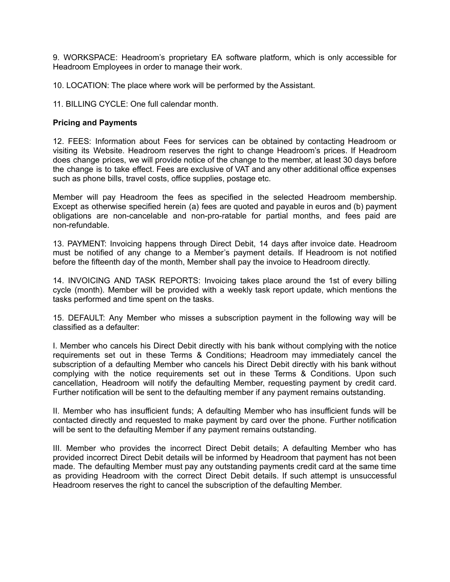9. WORKSPACE: Headroom's proprietary EA software platform, which is only accessible for Headroom Employees in order to manage their work.

10. LOCATION: The place where work will be performed by the Assistant.

11. BILLING CYCLE: One full calendar month.

#### **Pricing and Payments**

12. FEES: Information about Fees for services can be obtained by contacting Headroom or visiting its Website. Headroom reserves the right to change Headroom's prices. If Headroom does change prices, we will provide notice of the change to the member, at least 30 days before the change is to take effect. Fees are exclusive of VAT and any other additional office expenses such as phone bills, travel costs, office supplies, postage etc.

Member will pay Headroom the fees as specified in the selected Headroom membership. Except as otherwise specified herein (a) fees are quoted and payable in euros and (b) payment obligations are non-cancelable and non-pro-ratable for partial months, and fees paid are non-refundable.

13. PAYMENT: Invoicing happens through Direct Debit, 14 days after invoice date. Headroom must be notified of any change to a Member's payment details. If Headroom is not notified before the fifteenth day of the month, Member shall pay the invoice to Headroom directly.

14. INVOICING AND TASK REPORTS: Invoicing takes place around the 1st of every billing cycle (month). Member will be provided with a weekly task report update, which mentions the tasks performed and time spent on the tasks.

15. DEFAULT: Any Member who misses a subscription payment in the following way will be classified as a defaulter:

I. Member who cancels his Direct Debit directly with his bank without complying with the notice requirements set out in these Terms & Conditions; Headroom may immediately cancel the subscription of a defaulting Member who cancels his Direct Debit directly with his bank without complying with the notice requirements set out in these Terms & Conditions. Upon such cancellation, Headroom will notify the defaulting Member, requesting payment by credit card. Further notification will be sent to the defaulting member if any payment remains outstanding.

II. Member who has insufficient funds; A defaulting Member who has insufficient funds will be contacted directly and requested to make payment by card over the phone. Further notification will be sent to the defaulting Member if any payment remains outstanding.

III. Member who provides the incorrect Direct Debit details; A defaulting Member who has provided incorrect Direct Debit details will be informed by Headroom that payment has not been made. The defaulting Member must pay any outstanding payments credit card at the same time as providing Headroom with the correct Direct Debit details. If such attempt is unsuccessful Headroom reserves the right to cancel the subscription of the defaulting Member.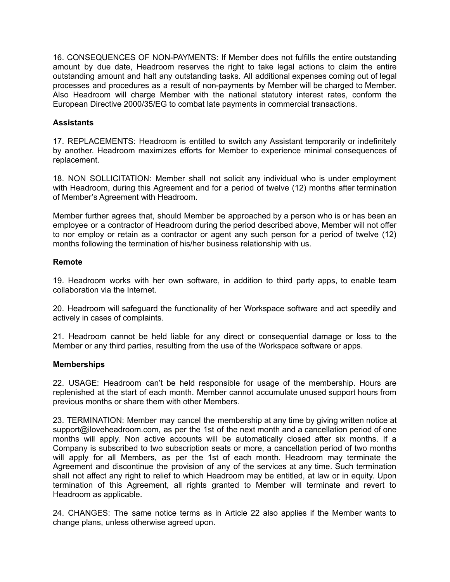16. CONSEQUENCES OF NON-PAYMENTS: If Member does not fulfills the entire outstanding amount by due date, Headroom reserves the right to take legal actions to claim the entire outstanding amount and halt any outstanding tasks. All additional expenses coming out of legal processes and procedures as a result of non-payments by Member will be charged to Member. Also Headroom will charge Member with the national statutory interest rates, conform the European Directive 2000/35/EG to combat late payments in commercial transactions.

## **Assistants**

17. REPLACEMENTS: Headroom is entitled to switch any Assistant temporarily or indefinitely by another. Headroom maximizes efforts for Member to experience minimal consequences of replacement.

18. NON SOLLICITATION: Member shall not solicit any individual who is under employment with Headroom, during this Agreement and for a period of twelve (12) months after termination of Member's Agreement with Headroom.

Member further agrees that, should Member be approached by a person who is or has been an employee or a contractor of Headroom during the period described above, Member will not offer to nor employ or retain as a contractor or agent any such person for a period of twelve (12) months following the termination of his/her business relationship with us.

#### **Remote**

19. Headroom works with her own software, in addition to third party apps, to enable team collaboration via the Internet.

20. Headroom will safeguard the functionality of her Workspace software and act speedily and actively in cases of complaints.

21. Headroom cannot be held liable for any direct or consequential damage or loss to the Member or any third parties, resulting from the use of the Workspace software or apps.

#### **Memberships**

22. USAGE: Headroom can't be held responsible for usage of the membership. Hours are replenished at the start of each month. Member cannot accumulate unused support hours from previous months or share them with other Members.

23. TERMINATION: Member may cancel the membership at any time by giving written notice at support@iloveheadroom.com, as per the 1st of the next month and a cancellation period of one months will apply. Non active accounts will be automatically closed after six months. If a Company is subscribed to two subscription seats or more, a cancellation period of two months will apply for all Members, as per the 1st of each month. Headroom may terminate the Agreement and discontinue the provision of any of the services at any time. Such termination shall not affect any right to relief to which Headroom may be entitled, at law or in equity. Upon termination of this Agreement, all rights granted to Member will terminate and revert to Headroom as applicable.

24. CHANGES: The same notice terms as in Article 22 also applies if the Member wants to change plans, unless otherwise agreed upon.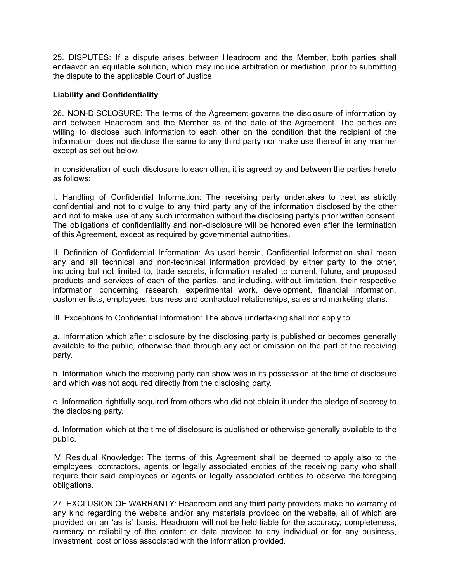25. DISPUTES: If a dispute arises between Headroom and the Member, both parties shall endeavor an equitable solution, which may include arbitration or mediation, prior to submitting the dispute to the applicable Court of Justice

### **Liability and Confidentiality**

26. NON-DISCLOSURE: The terms of the Agreement governs the disclosure of information by and between Headroom and the Member as of the date of the Agreement. The parties are willing to disclose such information to each other on the condition that the recipient of the information does not disclose the same to any third party nor make use thereof in any manner except as set out below.

In consideration of such disclosure to each other, it is agreed by and between the parties hereto as follows:

I. Handling of Confidential Information: The receiving party undertakes to treat as strictly confidential and not to divulge to any third party any of the information disclosed by the other and not to make use of any such information without the disclosing party's prior written consent. The obligations of confidentiality and non-disclosure will be honored even after the termination of this Agreement, except as required by governmental authorities.

II. Definition of Confidential Information: As used herein, Confidential Information shall mean any and all technical and non-technical information provided by either party to the other, including but not limited to, trade secrets, information related to current, future, and proposed products and services of each of the parties, and including, without limitation, their respective information concerning research, experimental work, development, financial information, customer lists, employees, business and contractual relationships, sales and marketing plans.

III. Exceptions to Confidential Information: The above undertaking shall not apply to:

a. Information which after disclosure by the disclosing party is published or becomes generally available to the public, otherwise than through any act or omission on the part of the receiving party.

b. Information which the receiving party can show was in its possession at the time of disclosure and which was not acquired directly from the disclosing party.

c. Information rightfully acquired from others who did not obtain it under the pledge of secrecy to the disclosing party.

d. Information which at the time of disclosure is published or otherwise generally available to the public.

IV. Residual Knowledge: The terms of this Agreement shall be deemed to apply also to the employees, contractors, agents or legally associated entities of the receiving party who shall require their said employees or agents or legally associated entities to observe the foregoing obligations.

27. EXCLUSION OF WARRANTY: Headroom and any third party providers make no warranty of any kind regarding the website and/or any materials provided on the website, all of which are provided on an 'as is' basis. Headroom will not be held liable for the accuracy, completeness, currency or reliability of the content or data provided to any individual or for any business, investment, cost or loss associated with the information provided.